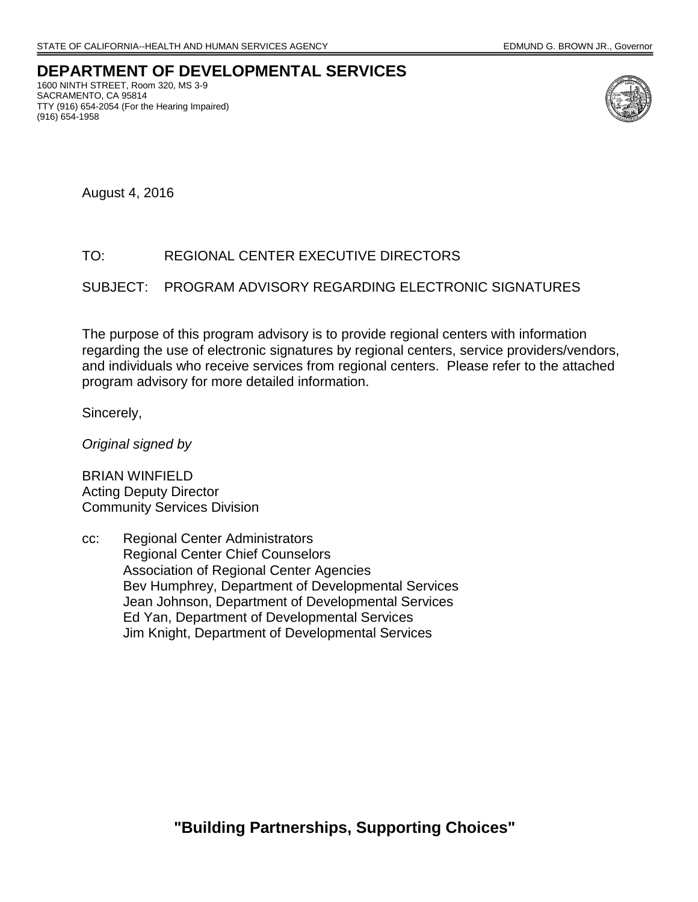# **DEPARTMENT OF DEVELOPMENTAL SERVICES**

1600 NINTH STREET, Room 320, MS 3-9 SACRAMENTO, CA 95814 TTY (916) 654-2054 (For the Hearing Impaired) (916) 654-1958



August 4, 2016

# TO: REGIONAL CENTER EXECUTIVE DIRECTORS

#### SUBJECT: PROGRAM ADVISORY REGARDING ELECTRONIC SIGNATURES

The purpose of this program advisory is to provide regional centers with information regarding the use of electronic signatures by regional centers, service providers/vendors, and individuals who receive services from regional centers. Please refer to the attached program advisory for more detailed information.

Sincerely,

*Original signed by*

BRIAN WINFIELD Acting Deputy Director Community Services Division

cc: Regional Center Administrators Regional Center Chief Counselors Association of Regional Center Agencies Bev Humphrey, Department of Developmental Services Jean Johnson, Department of Developmental Services Ed Yan, Department of Developmental Services Jim Knight, Department of Developmental Services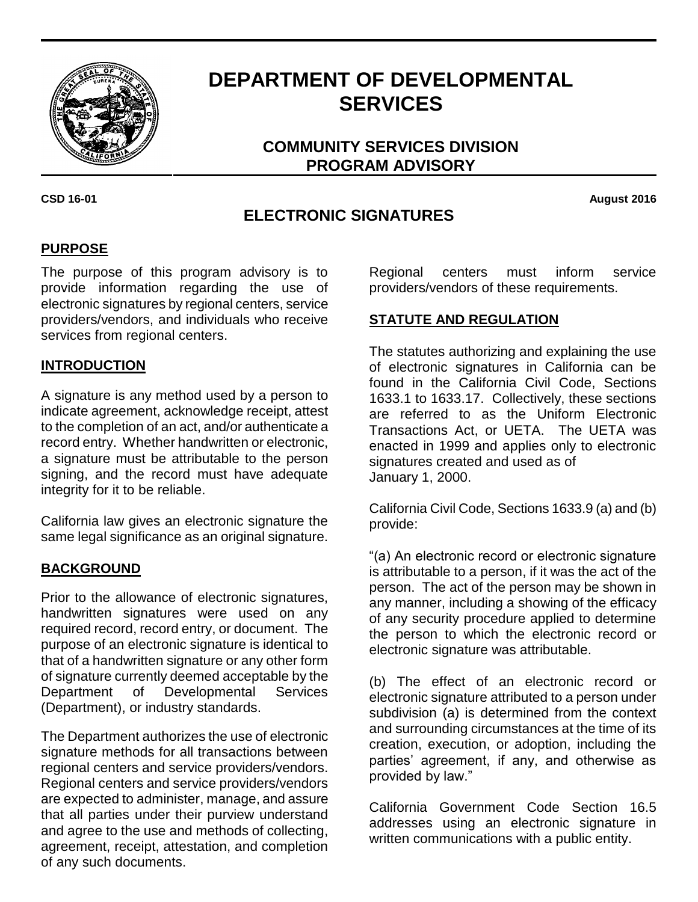

# **DEPARTMENT OF DEVELOPMENTAL SERVICES**

**COMMUNITY SERVICES DIVISION PROGRAM ADVISORY**

# **ELECTRONIC SIGNATURES**

**CSD 16-01 August 2016**

# **PURPOSE**

The purpose of this program advisory is to provide information regarding the use of electronic signatures by regional centers, service providers/vendors, and individuals who receive services from regional centers.

### **INTRODUCTION**

A signature is any method used by a person to indicate agreement, acknowledge receipt, attest to the completion of an act, and/or authenticate a record entry. Whether handwritten or electronic, a signature must be attributable to the person signing, and the record must have adequate integrity for it to be reliable.

California law gives an electronic signature the same legal significance as an original signature.

### **BACKGROUND**

Prior to the allowance of electronic signatures, handwritten signatures were used on any required record, record entry, or document. The purpose of an electronic signature is identical to that of a handwritten signature or any other form of signature currently deemed acceptable by the Department of Developmental Services (Department), or industry standards.

The Department authorizes the use of electronic signature methods for all transactions between regional centers and service providers/vendors. Regional centers and service providers/vendors are expected to administer, manage, and assure that all parties under their purview understand and agree to the use and methods of collecting, agreement, receipt, attestation, and completion of any such documents.

Regional centers must inform service providers/vendors of these requirements.

#### **STATUTE AND REGULATION**

The statutes authorizing and explaining the use of electronic signatures in California can be found in the California Civil Code, Sections 1633.1 to 1633.17. Collectively, these sections are referred to as the Uniform Electronic Transactions Act, or UETA. The UETA was enacted in 1999 and applies only to electronic signatures created and used as of January 1, 2000.

California Civil Code, Sections 1633.9 (a) and (b) provide:

"(a) An electronic record or electronic signature is attributable to a person, if it was the act of the person. The act of the person may be shown in any manner, including a showing of the efficacy of any security procedure applied to determine the person to which the electronic record or electronic signature was attributable.

(b) The effect of an electronic record or electronic signature attributed to a person under subdivision (a) is determined from the context and surrounding circumstances at the time of its creation, execution, or adoption, including the parties' agreement, if any, and otherwise as provided by law."

California Government Code Section 16.5 addresses using an electronic signature in written communications with a public entity.